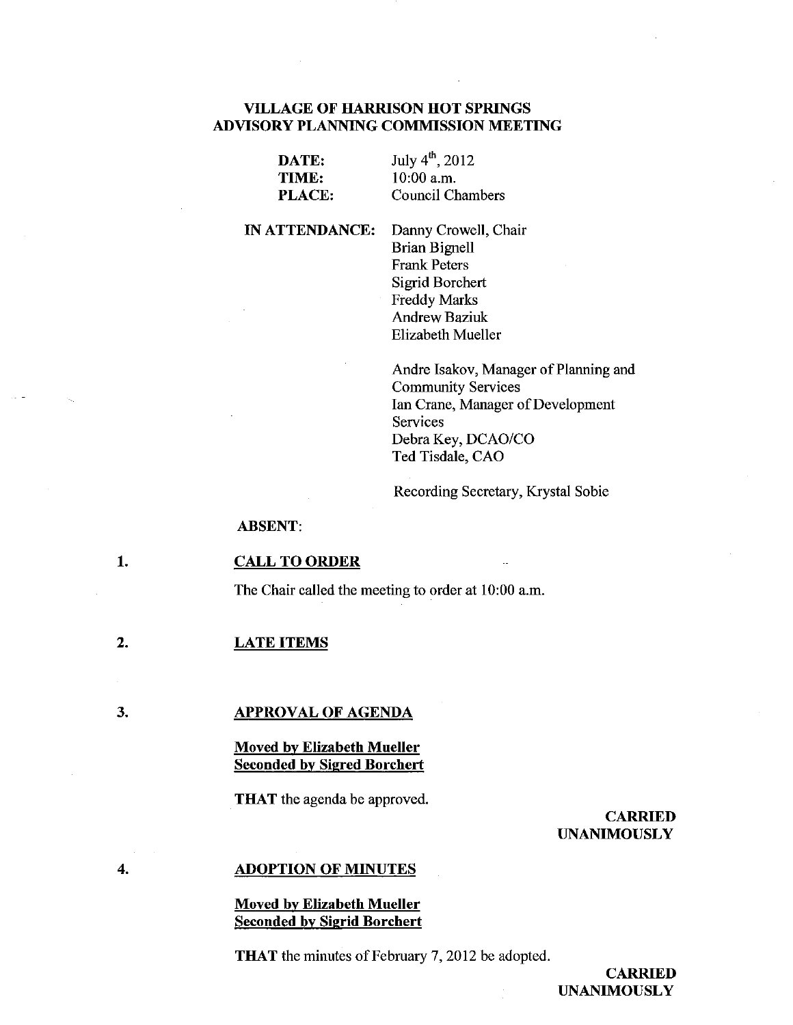# VILLAGE OF HARRISON HOT SPRINGS ADVISORY PLANNING COMMISSION MEETING

| DATE:         |  |
|---------------|--|
| TIME:         |  |
| <b>PLACE:</b> |  |

July 4'h, 2012 10:00 a.m. Council Chambers

IN ATTENDANCE:

Danny Crowell, Chair Brian Bignell Frank Peters Sigrid Borchert Freddy Marks Andrew Baziuk Elizabeth Mueller

Andre Isakov, Manager of Planning and Community Services Ian Crane, Manager of Development Services Debra Key, DCAO/CO Ted Tisdale, CAO

Recording Secretary, Krystal Sobie

ABSENT:

#### 1. CALL TO ORDER

The Chair called the meeting to order at 10:00 a.m.

#### 2. LATE ITEMS

3.

#### APPROVAL OF AGENDA

# Moved by Elizabeth Mueller Seconded by Sigred Borchert

THAT the agenda be approved.

### CARRIED UNANIMOUSLY

#### 4.

### ADOPTION OF MINUTES

### Moved by Elizabeth Mueller Seconded by Sigrid Borchert

THAT the minutes of February 7, 2012 be adopted.